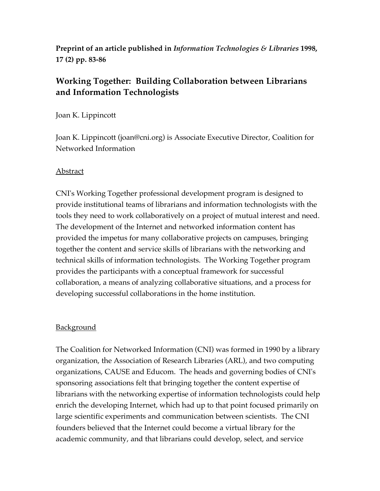**Preprint of an article published in** *Information Technologies & Libraries* **1998, 17 (2) pp. 83-86**

# **Working Together: Building Collaboration between Librarians and Information Technologists**

Joan K. Lippincott

Joan K. Lippincott (joan@cni.org) is Associate Executive Director, Coalition for Networked Information

### Abstract

CNI's Working Together professional development program is designed to provide institutional teams of librarians and information technologists with the tools they need to work collaboratively on a project of mutual interest and need. The development of the Internet and networked information content has provided the impetus for many collaborative projects on campuses, bringing together the content and service skills of librarians with the networking and technical skills of information technologists. The Working Together program provides the participants with a conceptual framework for successful collaboration, a means of analyzing collaborative situations, and a process for developing successful collaborations in the home institution.

# **Background**

The Coalition for Networked Information (CNI) was formed in 1990 by a library organization, the Association of Research Libraries (ARL), and two computing organizations, CAUSE and Educom. The heads and governing bodies of CNI's sponsoring associations felt that bringing together the content expertise of librarians with the networking expertise of information technologists could help enrich the developing Internet, which had up to that point focused primarily on large scientific experiments and communication between scientists. The CNI founders believed that the Internet could become a virtual library for the academic community, and that librarians could develop, select, and service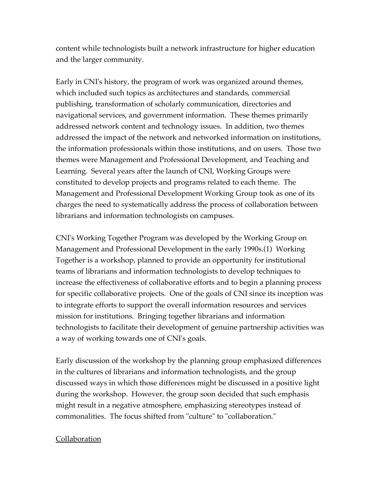content while technologists built a network infrastructure for higher education and the larger community.

Early in CNI's history, the program of work was organized around themes, which included such topics as architectures and standards, commercial publishing, transformation of scholarly communication, directories and navigational services, and government information. These themes primarily addressed network content and technology issues. In addition, two themes addressed the impact of the network and networked information on institutions, the information professionals within those institutions, and on users. Those two themes were Management and Professional Development, and Teaching and Learning. Several years after the launch of CNI, Working Groups were constituted to develop projects and programs related to each theme. The Management and Professional Development Working Group took as one of its charges the need to systematically address the process of collaboration between librarians and information technologists on campuses.

CNI's Working Together Program was developed by the Working Group on Management and Professional Development in the early 1990s.(1) Working Together is a workshop, planned to provide an opportunity for institutional teams of librarians and information technologists to develop techniques to increase the effectiveness of collaborative efforts and to begin a planning process for specific collaborative projects. One of the goals of CNI since its inception was to integrate efforts to support the overall information resources and services mission for institutions. Bringing together librarians and information technologists to facilitate their development of genuine partnership activities was a way of working towards one of CNI's goals.

Early discussion of the workshop by the planning group emphasized differences in the cultures of librarians and information technologists, and the group discussed ways in which those differences might be discussed in a positive light during the workshop. However, the group soon decided that such emphasis might result in a negative atmosphere, emphasizing stereotypes instead of commonalities. The focus shifted from "culture" to "collaboration."

#### Collaboration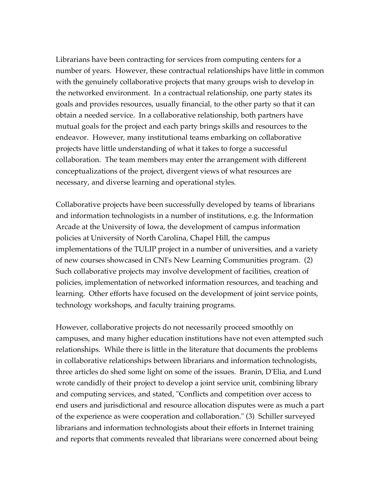Librarians have been contracting for services from computing centers for a number of years. However, these contractual relationships have little in common with the genuinely collaborative projects that many groups wish to develop in the networked environment. In a contractual relationship, one party states its goals and provides resources, usually financial, to the other party so that it can obtain a needed service. In a collaborative relationship, both partners have mutual goals for the project and each party brings skills and resources to the endeavor. However, many institutional teams embarking on collaborative projects have little understanding of what it takes to forge a successful collaboration. The team members may enter the arrangement with different conceptualizations of the project, divergent views of what resources are necessary, and diverse learning and operational styles.

Collaborative projects have been successfully developed by teams of librarians and information technologists in a number of institutions, e.g. the Information Arcade at the University of Iowa, the development of campus information policies at University of North Carolina, Chapel Hill, the campus implementations of the TULIP project in a number of universities, and a variety of new courses showcased in CNI's New Learning Communities program. (2) Such collaborative projects may involve development of facilities, creation of policies, implementation of networked information resources, and teaching and learning. Other efforts have focused on the development of joint service points, technology workshops, and faculty training programs.

However, collaborative projects do not necessarily proceed smoothly on campuses, and many higher education institutions have not even attempted such relationships. While there is little in the literature that documents the problems in collaborative relationships between librarians and information technologists, three articles do shed some light on some of the issues. Branin, D'Elia, and Lund wrote candidly of their project to develop a joint service unit, combining library and computing services, and stated, "Conflicts and competition over access to end users and jurisdictional and resource allocation disputes were as much a part of the experience as were cooperation and collaboration." (3) Schiller surveyed librarians and information technologists about their efforts in Internet training and reports that comments revealed that librarians were concerned about being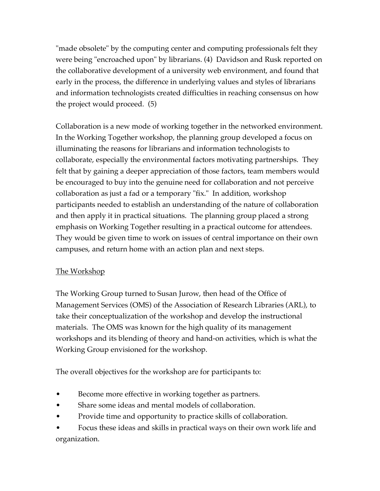"made obsolete" by the computing center and computing professionals felt they were being "encroached upon" by librarians. (4) Davidson and Rusk reported on the collaborative development of a university web environment, and found that early in the process, the difference in underlying values and styles of librarians and information technologists created difficulties in reaching consensus on how the project would proceed. (5)

Collaboration is a new mode of working together in the networked environment. In the Working Together workshop, the planning group developed a focus on illuminating the reasons for librarians and information technologists to collaborate, especially the environmental factors motivating partnerships. They felt that by gaining a deeper appreciation of those factors, team members would be encouraged to buy into the genuine need for collaboration and not perceive collaboration as just a fad or a temporary "fix." In addition, workshop participants needed to establish an understanding of the nature of collaboration and then apply it in practical situations. The planning group placed a strong emphasis on Working Together resulting in a practical outcome for attendees. They would be given time to work on issues of central importance on their own campuses, and return home with an action plan and next steps.

# The Workshop

The Working Group turned to Susan Jurow, then head of the Office of Management Services (OMS) of the Association of Research Libraries (ARL), to take their conceptualization of the workshop and develop the instructional materials. The OMS was known for the high quality of its management workshops and its blending of theory and hand-on activities, which is what the Working Group envisioned for the workshop.

The overall objectives for the workshop are for participants to:

- Become more effective in working together as partners.
- Share some ideas and mental models of collaboration.
- Provide time and opportunity to practice skills of collaboration.
- Focus these ideas and skills in practical ways on their own work life and organization.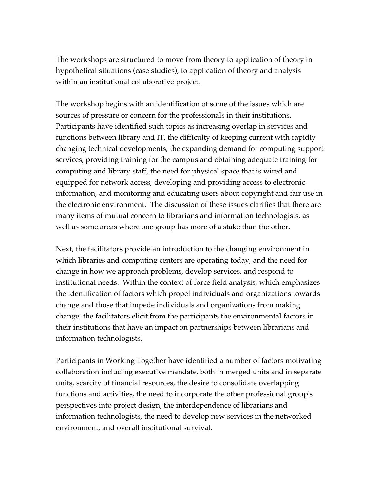The workshops are structured to move from theory to application of theory in hypothetical situations (case studies), to application of theory and analysis within an institutional collaborative project.

The workshop begins with an identification of some of the issues which are sources of pressure or concern for the professionals in their institutions. Participants have identified such topics as increasing overlap in services and functions between library and IT, the difficulty of keeping current with rapidly changing technical developments, the expanding demand for computing support services, providing training for the campus and obtaining adequate training for computing and library staff, the need for physical space that is wired and equipped for network access, developing and providing access to electronic information, and monitoring and educating users about copyright and fair use in the electronic environment. The discussion of these issues clarifies that there are many items of mutual concern to librarians and information technologists, as well as some areas where one group has more of a stake than the other.

Next, the facilitators provide an introduction to the changing environment in which libraries and computing centers are operating today, and the need for change in how we approach problems, develop services, and respond to institutional needs. Within the context of force field analysis, which emphasizes the identification of factors which propel individuals and organizations towards change and those that impede individuals and organizations from making change, the facilitators elicit from the participants the environmental factors in their institutions that have an impact on partnerships between librarians and information technologists.

Participants in Working Together have identified a number of factors motivating collaboration including executive mandate, both in merged units and in separate units, scarcity of financial resources, the desire to consolidate overlapping functions and activities, the need to incorporate the other professional group's perspectives into project design, the interdependence of librarians and information technologists, the need to develop new services in the networked environment, and overall institutional survival.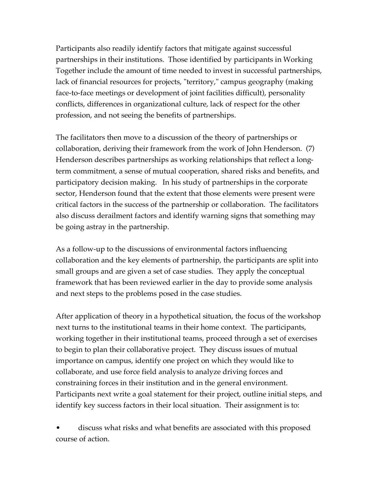Participants also readily identify factors that mitigate against successful partnerships in their institutions. Those identified by participants in Working Together include the amount of time needed to invest in successful partnerships, lack of financial resources for projects, "territory," campus geography (making face-to-face meetings or development of joint facilities difficult), personality conflicts, differences in organizational culture, lack of respect for the other profession, and not seeing the benefits of partnerships.

The facilitators then move to a discussion of the theory of partnerships or collaboration, deriving their framework from the work of John Henderson. (7) Henderson describes partnerships as working relationships that reflect a longterm commitment, a sense of mutual cooperation, shared risks and benefits, and participatory decision making. In his study of partnerships in the corporate sector, Henderson found that the extent that those elements were present were critical factors in the success of the partnership or collaboration. The facilitators also discuss derailment factors and identify warning signs that something may be going astray in the partnership.

As a follow-up to the discussions of environmental factors influencing collaboration and the key elements of partnership, the participants are split into small groups and are given a set of case studies. They apply the conceptual framework that has been reviewed earlier in the day to provide some analysis and next steps to the problems posed in the case studies.

After application of theory in a hypothetical situation, the focus of the workshop next turns to the institutional teams in their home context. The participants, working together in their institutional teams, proceed through a set of exercises to begin to plan their collaborative project. They discuss issues of mutual importance on campus, identify one project on which they would like to collaborate, and use force field analysis to analyze driving forces and constraining forces in their institution and in the general environment. Participants next write a goal statement for their project, outline initial steps, and identify key success factors in their local situation. Their assignment is to:

• discuss what risks and what benefits are associated with this proposed course of action.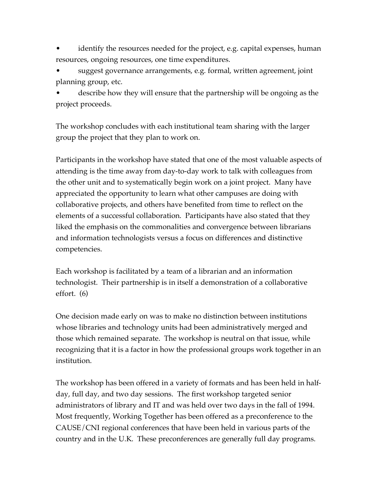identify the resources needed for the project, e.g. capital expenses, human resources, ongoing resources, one time expenditures.

• suggest governance arrangements, e.g. formal, written agreement, joint planning group, etc.

• describe how they will ensure that the partnership will be ongoing as the project proceeds.

The workshop concludes with each institutional team sharing with the larger group the project that they plan to work on.

Participants in the workshop have stated that one of the most valuable aspects of attending is the time away from day-to-day work to talk with colleagues from the other unit and to systematically begin work on a joint project. Many have appreciated the opportunity to learn what other campuses are doing with collaborative projects, and others have benefited from time to reflect on the elements of a successful collaboration. Participants have also stated that they liked the emphasis on the commonalities and convergence between librarians and information technologists versus a focus on differences and distinctive competencies.

Each workshop is facilitated by a team of a librarian and an information technologist. Their partnership is in itself a demonstration of a collaborative effort. (6)

One decision made early on was to make no distinction between institutions whose libraries and technology units had been administratively merged and those which remained separate. The workshop is neutral on that issue, while recognizing that it is a factor in how the professional groups work together in an institution.

The workshop has been offered in a variety of formats and has been held in halfday, full day, and two day sessions. The first workshop targeted senior administrators of library and IT and was held over two days in the fall of 1994. Most frequently, Working Together has been offered as a preconference to the CAUSE/CNI regional conferences that have been held in various parts of the country and in the U.K. These preconferences are generally full day programs.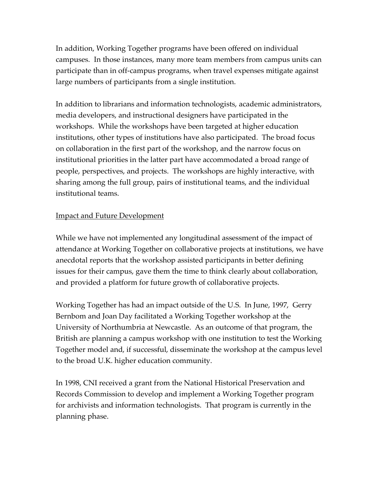In addition, Working Together programs have been offered on individual campuses. In those instances, many more team members from campus units can participate than in off-campus programs, when travel expenses mitigate against large numbers of participants from a single institution.

In addition to librarians and information technologists, academic administrators, media developers, and instructional designers have participated in the workshops. While the workshops have been targeted at higher education institutions, other types of institutions have also participated. The broad focus on collaboration in the first part of the workshop, and the narrow focus on institutional priorities in the latter part have accommodated a broad range of people, perspectives, and projects. The workshops are highly interactive, with sharing among the full group, pairs of institutional teams, and the individual institutional teams.

### Impact and Future Development

While we have not implemented any longitudinal assessment of the impact of attendance at Working Together on collaborative projects at institutions, we have anecdotal reports that the workshop assisted participants in better defining issues for their campus, gave them the time to think clearly about collaboration, and provided a platform for future growth of collaborative projects.

Working Together has had an impact outside of the U.S. In June, 1997, Gerry Bernbom and Joan Day facilitated a Working Together workshop at the University of Northumbria at Newcastle. As an outcome of that program, the British are planning a campus workshop with one institution to test the Working Together model and, if successful, disseminate the workshop at the campus level to the broad U.K. higher education community.

In 1998, CNI received a grant from the National Historical Preservation and Records Commission to develop and implement a Working Together program for archivists and information technologists. That program is currently in the planning phase.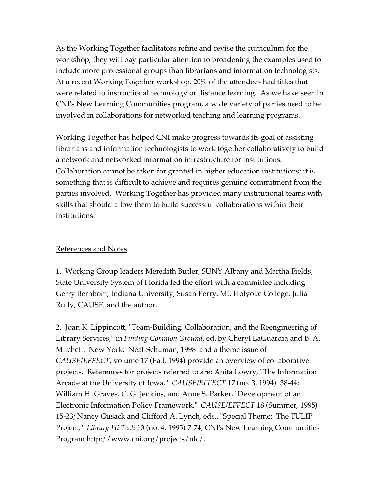As the Working Together facilitators refine and revise the curriculum for the workshop, they will pay particular attention to broadening the examples used to include more professional groups than librarians and information technologists. At a recent Working Together workshop, 20% of the attendees had titles that were related to instructional technology or distance learning. As we have seen in CNI's New Learning Communities program, a wide variety of parties need to be involved in collaborations for networked teaching and learning programs.

Working Together has helped CNI make progress towards its goal of assisting librarians and information technologists to work together collaboratively to build a network and networked information infrastructure for institutions. Collaboration cannot be taken for granted in higher education institutions; it is something that is difficult to achieve and requires genuine commitment from the parties involved. Working Together has provided many institutional teams with skills that should allow them to build successful collaborations within their institutions.

# References and Notes

1. Working Group leaders Meredith Butler, SUNY Albany and Martha Fields, State University System of Florida led the effort with a committee including Gerry Bernbom, Indiana University, Susan Perry, Mt. Holyoke College, Julia Rudy, CAUSE, and the author.

2. Joan K. Lippincott, "Team-Building, Collaboration, and the Reengineering of Library Services," in *Finding Common Ground*, ed. by Cheryl LaGuardia and B. A. Mitchell. New York: Neal-Schuman, 1998 and a theme issue of *CAUSE/EFFECT*, volume 17 (Fall, 1994) provide an overview of collaborative projects. References for projects referred to are: Anita Lowry, "The Information Arcade at the University of Iowa," *CAUSE/EFFECT* 17 (no. 3, 1994) 38-44; William H. Graves, C. G. Jenkins, and Anne S. Parker, "Development of an Electronic Information Policy Framework," *CAUSE/EFFECT* 18 (Summer, 1995) 15-23; Nancy Gusack and Clifford A. Lynch, eds., "Special Theme: The TULIP Project," *Library Hi Tech* 13 (no. 4, 1995) 7-74; CNI's New Learning Communities Program http://www.cni.org/projects/nlc/.